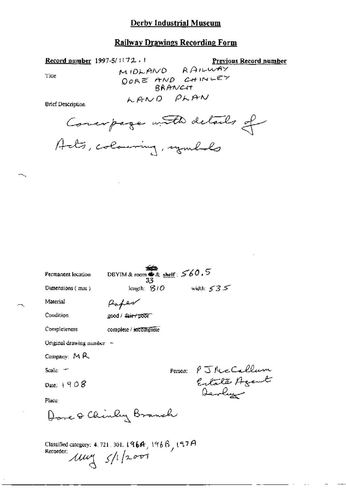#### **Railway Drawings Recording Form**

Record number 1997-5/1172.1

Previous Record number

Title

MIDLAND RAILWAY DORE AND CHINLEY BRANCH LAND PLAN

**Brief Description** 

Conceptage with details of

| Permanent location          | DBYIM & room $\overline{\bullet}$ & shelf : $560.5$<br>33                         |
|-----------------------------|-----------------------------------------------------------------------------------|
| Dimensions $(mn)$           | width: $535$<br>length: $B10$                                                     |
| Material                    | Haper                                                                             |
| Condition                   | good / <del>fair / poor</del>                                                     |
| Completeness                | complete / incomplete                                                             |
| Original drawing number $-$ |                                                                                   |
| Company: MR                 |                                                                                   |
| Scale: $-$                  | Person: PJRecCallum                                                               |
| Date: $+908$                | Estate Agent<br>Devlin                                                            |
| Place:                      |                                                                                   |
|                             | Dore & Chinley Branch                                                             |
| Recorder:                   | Classified category: 4.721.301.1964, 1966, 197A<br>$\mu$ uy $\frac{1}{2}$ /1/2001 |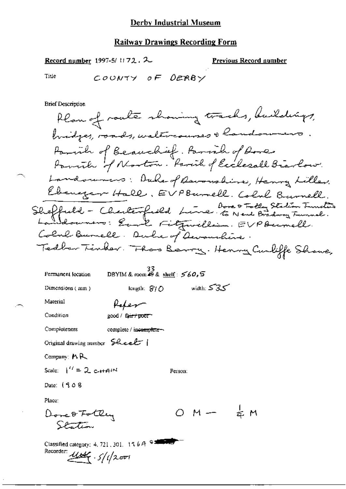Record number 1997-5/1172.  $2$ 

**Previous Record number** 

Title

COUNTY OF DERBY

**Brief Description** 

Plan of route showing tracks, buildings, bridges, roads, watercourses & handowners. Parith of Beauchief. Parish of Rores<br>Parith of Norton. Parit of Ecclesall Biarlow. Landowners: Duke of Ravonshine, Henry Liller. Ebenezer Hall, EVPBurnell. Colul Burnell. Sheffuld - Cherterfield Line Bore & Totty Station Function Colul Burnell. Duke of Devanchine Tedber Tinder. Thas Barry. Henry Curliffe Shave,

Permanent location

DBYIM & room 49 & shelf:  $560.5$ 

Dimensions (mm)

width:  $535$ length:  $\mathcal{B}/\mathcal{O}$ 

Person:

Material

Condition

good / fa<del>ir / poor -</del>

Completeness

complete / incomplete-

Refer

Original drawing number Sheet

Company: MR

Scale:  $1'' = 2$  c++4IM

Date: (908

Place:

 $OM - \frac{1}{2}M$ Done Fotly<br>Station

| Classified category: 4, 721, 301, 116A $\frac{64}{100}$ |  |
|---------------------------------------------------------|--|
| Recorder: $\mu$ use $\frac{1}{\sqrt{2}}$                |  |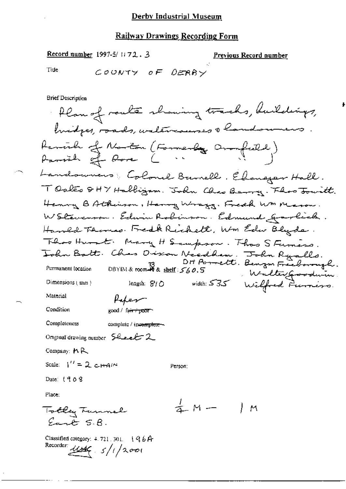Record number 1997-5/1172.3

<u>Previous Record number</u>

Tiue

COUNTY OF DERRY

**Brief Description** 

flan of route showing tracks, buildings, Parcial of Norton (Formerly Oronfeeld)<br>Parcial of Rose ( ) Landowners : Colonel Burnell . Ellengar Hall. TOakes 8HY Halligam. John Chao Berry. Floo Jourtt. Henry B Atherison, Henry Wraza. Freech WM Mason. WStevenson. Edwin Robinson. Edmund gravlick. Hamed Terms. Fredk Richett, Wm Edw Blyde. Theo Hunt. Many H Sampson. Thas S Funers. John Batt. Chas Discon Needham. John Ryalls.<br>Dit Porrett. Benjam Freeborough.<br>Pormanent location DBYIN& room & s<u>helf</u>: 560.5 Weelter Googhuman Wedter goodwin length: 810 width: 535 Wilfred Furniso. Dimensions (mm) Material Paper Condition good / fa<del>ir / poor</del> Completeness complete / incomplete-Original drawing number  $5$ heek  $2$ Company:  $M R$ Scale:  $1'' = 2$  c-HAIN Person: Date: 1968 Place.  $\frac{1}{4}$  M  $-$ Totley Tunnel ΙM Eart S.B. Classified category:  $4.721.301.$   $196A$ Recorder:  $4466 - 5/1/2001$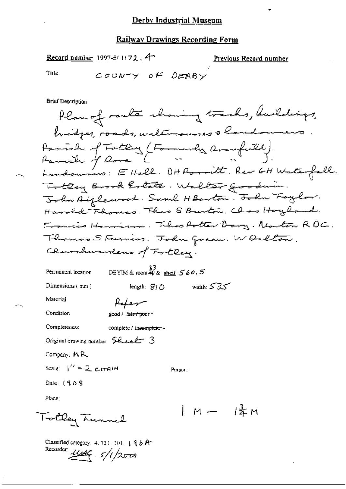Record number 1997-5/1172. 4

Recorder  $446.5/1/200$ 

<u>Previous Record number</u>

Title

COUNTY OF DERBY

**Brief Description** 

Plan of route showing tracks, buildings, bridges, roads, walencourses a landowners Parish of Fotbay (Formerly Armfield).<br>Parish of Rome ( ). Landouners: E Hall. OHRommitt. Rev GH Waterfall. Totten Brook Estate. Walter goodnin. John Aiflewood. Saml HBarton. John Faylor. Harold Thomas. That S Burton, Chas Hoyland. Francis Homison. Theos Potter Dowy. Norton RDC. Thomas Steinin. John Green. W Oalton Churchwardens of Fattery. DBYIM & room  $\stackrel{33}{40}$  & shelf:  $\stackrel{7}{5}$  & 0, 5 Permanent location width:  $535$ Dimensions (mm) length:  $S/O$ Material Refer Condition good / fa<del>ir/poo</del>r-Completeness complete / incomplete ~~ Original drawing number Sheet 3 Company: MR Scale:  $1'' = 2$  c-H-AIM Person: Date: 1908 Place: | M - |孟M Totley Tunnel Classified category, 4, 721, 301,  $\frac{1}{3}$  4 b A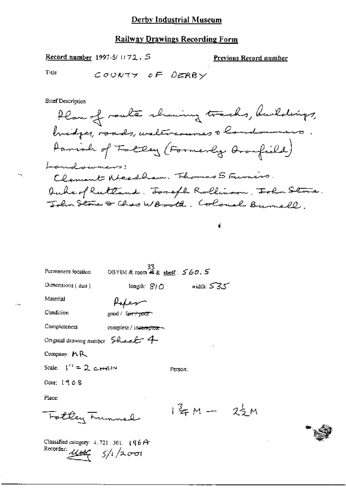#### **Railway Drawings Recording Form**

Record number 1997-5/ $1172.5$ 

**Previous Record number** 

Title

COUNTY OF DERBY

**Brief Description** 

Plan of roate showing tracks, buildings, bridges, roads, waltercourses a landowners Parish of Folly (Formerly Aronfield) Landowners: Clement Nicedham. Thomas S Funis. Auber/Ruttand. Toseph Rollinson, Tola Stone. John Stone & Chas WBooth. Colonel Burnell,

ť

| Permanent location                                                                   | 33<br>DBYIM & room 48 & shelf: 560.5 |         |              |  |
|--------------------------------------------------------------------------------------|--------------------------------------|---------|--------------|--|
| Dimensions (mm)                                                                      | length: SI∩                          |         | width: $535$ |  |
| Material                                                                             |                                      |         |              |  |
| Condition                                                                            | good / fa <del>ir / poor</del>       |         |              |  |
| Completeness                                                                         | complete / incomplete -              |         |              |  |
| Original drawing number $\mathcal{L}_{\text{ex}}$ $\mathcal{L}_{\text{ex}}$          |                                      |         |              |  |
| Company: $M R$                                                                       |                                      |         |              |  |
| Scale: $1'' = 2$ etrain                                                              |                                      | Person: |              |  |
| Date: 1908                                                                           |                                      |         |              |  |
| Place:                                                                               |                                      |         |              |  |
| Fotby Lunnel                                                                         |                                      |         | 1年M- 22M     |  |
| Classified category: $4.721.301.$ $196A$<br>Recorder: $\mu_{\mathcal{U}} = 5/1/2001$ |                                      |         |              |  |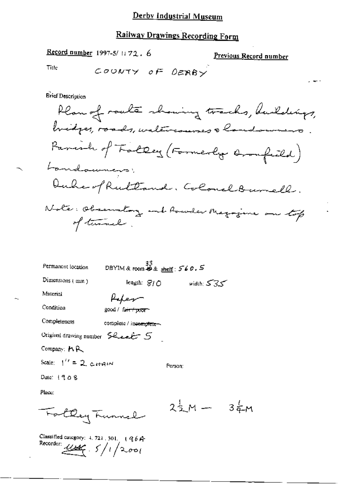## Railway Drawings Recording Form

Record number 1997-5/1172.6

Previous Record number

Title

$$
\begin{array}{ccc}\n\mathcal{L} & \mathcal{O} & \mathcal{O} & \mathcal{N} & \mathcal{O} & \mathcal{O} & \mathcal{O} & \mathcal{O} & \mathcal{O} & \mathcal{O} \\
\mathcal{L} & \mathcal{O} & \mathcal{O} & \mathcal{N} & \mathcal{O} & \mathcal{O} & \mathcal{O} & \mathcal{O} & \mathcal{O} & \mathcal{O} & \mathcal{O} & \mathcal{O} & \mathcal{O} & \mathcal{O} & \mathcal{O} & \mathcal{O} & \mathcal{O} & \mathcal{O} & \mathcal{O} & \mathcal{O} & \mathcal{O} & \mathcal{O} & \mathcal{O} & \mathcal{O} & \mathcal{O} & \mathcal{O} & \mathcal{O} & \mathcal{O} & \mathcal{O} & \mathcal{O} & \mathcal{O} & \mathcal{O} & \mathcal{O} & \mathcal{O} & \mathcal{O} & \mathcal{O} & \mathcal{O} & \mathcal{O} & \mathcal{O} & \mathcal{O} & \mathcal{O} & \mathcal{O} & \mathcal{O} & \mathcal{O} & \mathcal{O} & \mathcal{O} & \mathcal{O} & \mathcal{O} & \mathcal{O} & \mathcal{O} & \mathcal{O} & \mathcal{O} & \mathcal{O} & \mathcal{O} & \mathcal{O} & \mathcal{O} & \mathcal{O} & \mathcal{O} & \mathcal{O} & \mathcal{O} & \mathcal{O} & \mathcal{O} & \mathcal{O} & \mathcal{O} & \mathcal{O} & \mathcal{O} & \mathcal{O} & \mathcal{O} & \mathcal{O} & \mathcal{O} & \mathcal{O} & \mathcal{O} & \mathcal{O} & \mathcal{O} & \mathcal{O} & \mathcal{O} & \mathcal{O} & \mathcal{O} & \mathcal{O} & \mathcal{O} & \mathcal{O} & \mathcal{O} & \mathcal{O} & \mathcal{O} & \mathcal{O} & \mathcal{O} & \mathcal{O} & \mathcal{O} & \mathcal{O} & \mathcal{O} & \mathcal{O} & \mathcal{O} & \mathcal{O} & \mathcal{O} & \mathcal{O} & \mathcal{O} & \mathcal{O} & \mathcal
$$

**Erief Description** 

| Permanent location                                       | $33$<br>DBYIM & room $49$ & shelf : 560.5 |             |              |           |
|----------------------------------------------------------|-------------------------------------------|-------------|--------------|-----------|
| Dimensions $(mn)$                                        |                                           | length: SIO | width: $535$ |           |
| Material                                                 |                                           |             |              |           |
| Condition                                                | good / fa <del>ir / poor</del>            |             |              |           |
| Completeness                                             | complete / incomplete-                    |             |              |           |
| Original drawing number $\mathcal{S}$ Leet $\mathcal{S}$ |                                           |             |              |           |
| Company: MR                                              |                                           |             |              |           |
| Scale: $1'' = 2$ carrier                                 |                                           | Person:     |              |           |
| Date: 1908                                               |                                           |             |              |           |
| Place:                                                   |                                           |             |              |           |
|                                                          |                                           |             | 2 m —        | $3\sigma$ |

Classified category: 4, 721, 301. (964)<br>Recorder:  $\frac{U \cancel{\mathcal{M}}}{\sqrt{200}}$ .  $5/1/2.00$ 

Fattley Funnel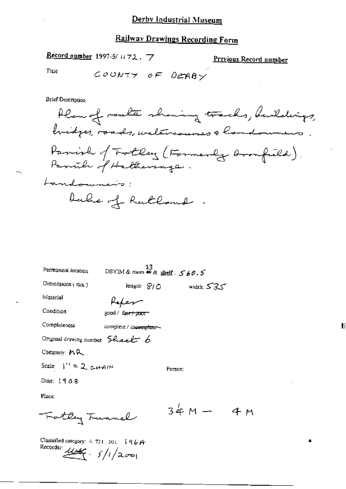Record number 1997-3/1172. 7

Previous Record number

4 M

Title

COUNTY OF DERBY

**Brief Description** 

Plan of route showing tracks, buildings, bridges, roads, waltercourses a landowners. Panish of Totlay (Formerly Aronfield). Panich of Hathersage. Landouncio; bule of Rutland  $\mathbb{R}^2$ 

| Permanent location                                       | 33<br>DBYIM & room $\mathcal{W}$ & shelf: $\mathcal{S} \neq \emptyset$ , $\mathcal{S}$ |              |
|----------------------------------------------------------|----------------------------------------------------------------------------------------|--------------|
| Dimensions $(mn)$                                        | length: $S/O$                                                                          | width: $535$ |
| Material                                                 | Hafen                                                                                  |              |
| Condition                                                | good / fa <del>ir / poor -</del>                                                       |              |
| Completeness                                             | complete / incomplete ~                                                                |              |
| Original drawing number $\mathcal G$ here $\mathcal L$ 6 |                                                                                        |              |
| Company: MR                                              |                                                                                        |              |
| Scale: $1'' = 2$ c-H-AIN                                 |                                                                                        | Person:      |
| Date: $19.68$                                            |                                                                                        |              |
| Place:                                                   |                                                                                        |              |
| Fotby Tunnel                                             |                                                                                        | $34M -$      |

Classified category:  $4.721.301.$  (96 A-Recorder:  $11646 - 5/1/200$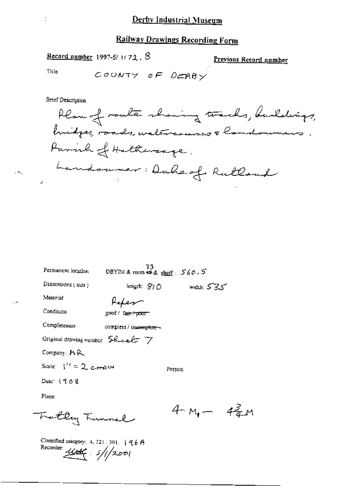Record number 1997-5/1172. 8

Previous Record number

 $4\frac{3}{4}$ M

Title

COUNTY OF DERBY

**Brief Description** 

Plan of route showing tracks, buildings, bridges, roads, waltrannes & handoumers. Parish of Hatherage. Landowner: Daheof Rutland

| Permanent location              | 33<br>DBYIM & room 母& sheif: 560.5  |              |
|---------------------------------|-------------------------------------|--------------|
| Dimensions $(mn)$               | length: SIO                         | width: $535$ |
| Material                        | Rafeson                             |              |
| Condition                       | good / fair / poor                  |              |
| Completeness                    | complete / inco <del>mplete</del> ~ |              |
| Original drawing number Sheet 7 |                                     |              |
| Company: MR                     |                                     |              |
| Scale: $1'' = 2$ chain          |                                     | Person:      |
| Date: $1908$                    |                                     |              |
| Place:                          |                                     |              |
| Fattley Tunnel                  |                                     | 4 m. –       |

Classified category: 4, 721, 301, |  $96A$ Recorder  $11/200$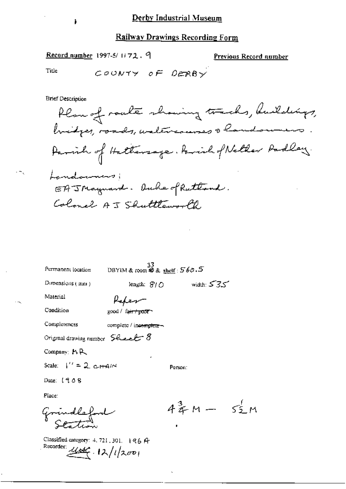Record number 1997-5/1172. 9

Previous Record number

Title

COUNTY OF DERRY

**Brief Description** 

Plan of roake showing tracks, buildings,<br>buidges, roads, watercourses & landoumers. Parish of Hattersage. Parish of Netter Padley. Landowners; EAJNaymard. Ouche of Ruttand. Colonel AJ Shuttleworld,

Permanent location

 $\frac{33}{28}$  DBYIM & room \$2 & shelf:  $560.5$ 

Person:

length:  $\mathcal{G}$  /  $\bigcirc$ 

Dimensions  $(mn)$ 

Kaken

Condition

Completeness

Material

 $\gcd /$  fair  $\frac{1}{2000}$ 

complete / incomplete -

Original drawing number  $S$ heel  $S$ 

Company: MR

Scale:  $1'' = 2$  c-H-AIM

Date: 1908

Place:

Grindleford

Classified category: 4, 721, 301. 196 A Recorder:  $444.12/12001$ 

 $43m - 55m$ 

سى75 miduh: ئە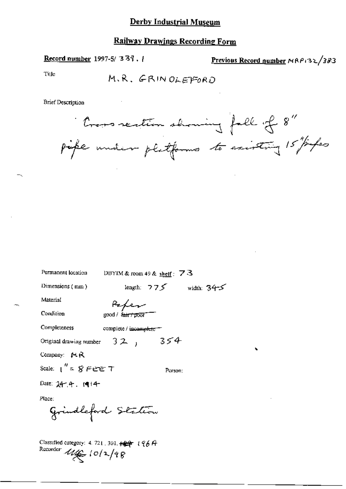**Record number** 1997-5/337,  $\frac{1}{2}$ 

Previous Record number MAP132/383

Tille

**Brief Description** 

Cross rection showing fall of 8"<br>pipe under platforms to existing 15"/infec

| Permanent location             | DBYIM & room 49 & shelf: $73$       |               |              |
|--------------------------------|-------------------------------------|---------------|--------------|
| Dimensions $(mn)$              |                                     | length. $775$ | width: $345$ |
| Material                       | Refer                               |               |              |
| Condition                      | good / <del>fair / poor</del>       |               |              |
| Completeness                   | complete / incomp <del>lete =</del> |               |              |
| Original drawing number $32$ , |                                     | 354           |              |
| Company: MR                    |                                     |               |              |
| Scale: $1'' = 8$ Fere $7$      |                                     | Person:       |              |
| Date: $24 - 4$ . $(4 + 4 -$    |                                     |               |              |
| Place:                         |                                     |               |              |
| Grindleford Station            |                                     |               |              |

Classified category: 4.721, 301, +44 196A Recorder  $u \in \{0/2/98$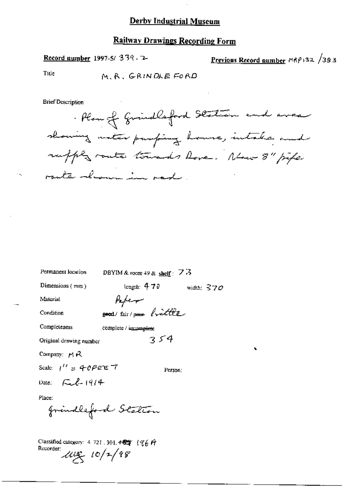#### **Railway Drawings Recording Form**

Record number 1997-5/339.

Previous Record number  $M_R$ 132 /383

Title

M. R. GRINDLE FORD

**Brief Description** 

. Plan of Grindlesford Station and area showing mater pumping house, intake and ruffly route towards hove. New 8" pipe route desure in rad

| Permanent location                              | DBYIM & room 49 & shelf: $\overline{7}$ is |         |              |
|-------------------------------------------------|--------------------------------------------|---------|--------------|
| Dimensions $(mn)$                               | length: $470$                              |         | width: $370$ |
| Material                                        | Peper                                      |         |              |
| Condition                                       | poord/fair/power brittle                   |         |              |
| Completeness                                    | complete / umomplete                       |         |              |
| Original drawing number                         |                                            | 354     |              |
| Company: $\boldsymbol{\mu} \boldsymbol{\kappa}$ |                                            |         |              |
| Scale: $1'' = 40$ PEE $7$                       |                                            | Person: |              |
| Date: $\sqrt{2}l - 1914$                        |                                            |         |              |
| Place:                                          |                                            |         |              |
| grindleford Station                             |                                            |         |              |
|                                                 |                                            |         |              |
|                                                 |                                            |         |              |

Classified category: 4-721, 301,  $\star$   $\star$   $\star$   $\uparrow$   $\uparrow$   $\uparrow$   $\uparrow$  $\frac{Rccorder}{d\mu}$  10/2/98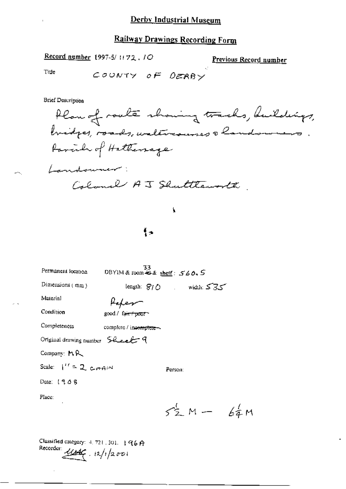Record number 1997-5/1172.10

Previous Record number

Title

COUNTY OF DERBY

**Brief Description** 

Plan of roate showing tracks, buildings, bridges, roads, waltercourses a landowners. forcid of Hatterrage Landowner: Calonel AJ Shuttleworth

#### ţ,

¶÷

| Permanent location                  | 33<br>DBYIM & room $\oplus$ & shelf: $560.5$ |         |                                                          |  |
|-------------------------------------|----------------------------------------------|---------|----------------------------------------------------------|--|
| Dimensions (mm)                     |                                              |         | length: $\mathcal{G}/\mathcal{O}$ width: $\mathcal{S}35$ |  |
| Material                            |                                              |         |                                                          |  |
| Condition                           | good/fa <del>ir/poor</del>                   |         |                                                          |  |
| Completeness                        | complete / inc <del>omplete -</del>          |         |                                                          |  |
| Original drawing number $5$ lee $4$ |                                              |         |                                                          |  |
| Company: $M R$                      |                                              |         |                                                          |  |
| Scale: $1'' = 2$ , $C_{\text{eff}}$ |                                              | Person: |                                                          |  |
| Date: 1908                          |                                              |         |                                                          |  |
| Place:<br>$\blacksquare$            |                                              |         |                                                          |  |
|                                     |                                              |         | $52M - 64M$                                              |  |
|                                     |                                              |         |                                                          |  |

Classified category:  $4, 721, 301, 1966$ Recorder  $11/12001$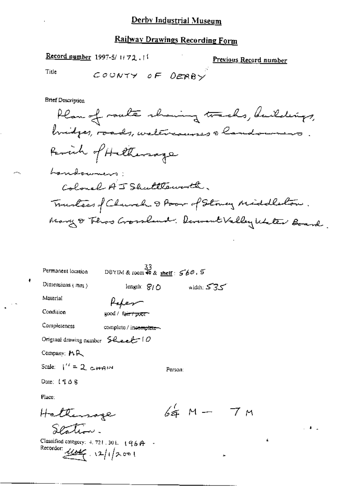## Railway Drawings Recording Form

Record number 1997-5/1172.11

Previous Record number

 $7<sub>M</sub>$ 

é.

 $\sim 10^{-1}$ 

Title

 $\ddot{\phantom{a}}$ 

COUNTY OF DERBY

**Brief Description** 

| Permanent location                                                                      | $\frac{33}{2}$<br>DBYIM & room #9 & <u>shelf</u> : 560.5 |             |              |
|-----------------------------------------------------------------------------------------|----------------------------------------------------------|-------------|--------------|
| Dimensions $(mn)$                                                                       | length: $S/O$                                            |             | width: $535$ |
| Material                                                                                | Hakes                                                    |             |              |
| Condition                                                                               | good / fa <del>ir / poor -</del>                         |             |              |
| Completeness                                                                            | complete / inc <del>omplete -</del>                      |             |              |
| Original drawing number $\mathcal{GL}_2$ of $O$                                         |                                                          |             |              |
| Company: MR                                                                             |                                                          |             |              |
| Scale: $1'' = 2$ compared                                                               |                                                          | Person:     |              |
| Date: 1908                                                                              |                                                          |             |              |
| Place:                                                                                  |                                                          |             |              |
| Hattersage                                                                              |                                                          | $64.$ M $-$ |              |
|                                                                                         |                                                          |             |              |
| Classified category: $4.721.301.$ ( $9.6$ $\uparrow$ -<br>Recorder: $11646$ , 12/1/2001 |                                                          |             |              |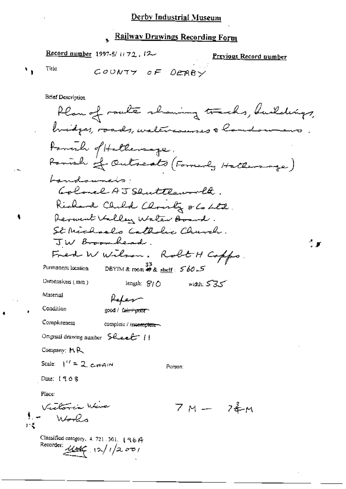## Railway Drawings Recording Form

Record number 1997-5/1172, 12

**Previous Record number** 

٠,

バミ

Title

COUNTY OF DERBY

**Brief Description** 

Plan of route sharing tracks, buildings, bridges, roads, waltercourses a landowners formule of Hollewage. Parish of Outseats (Formerly Hattersage) Landowners. Golonel AJ Shuttlaworld. Richard Child Christy o Co Ltd. Derwent Villey Walter Board. St Michaels Catholic Church. JW Broombead. Fred W Wilson. Robt H Coppo. DBYIM & room # & shelf:  $560.5$ Permanent location Dimensions (mm) width:  $535$ length:  $S1O$ Material Rofes Condition good / fair+poor Completeness complete / incomplete-Original drawing number 5 heeft 11 Company: MR Scale:  $\int^{\prime} = 2 \cosh n$ Person: Date: 1908 Place: Vactoria Wire  $7M - 24M$  $W_{\bm{\theta}}P_{\bm{\theta}}$ Classified category, 4, 721, 301, 196A Recorder:  $\frac{1}{2}$  12/1/2001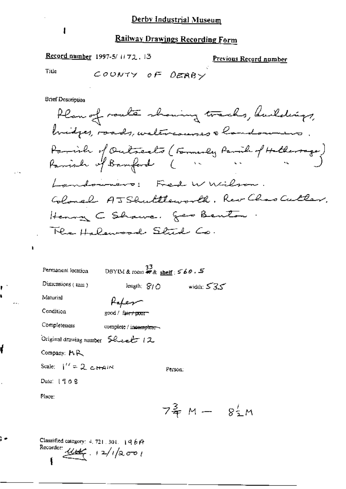Record number 1997-5/1172.13

Previous Record number

Title

ł

ŧ â

ł

l,

ŗ.

COUNTY OF DERBY

**Brief Description** 

 $\mathbf{I}$ 

| Permanent location                                        | $\begin{array}{c} \text{33} \\ \text{DBYIM & \text{room} \text{ # } \& \text{ sheif}; \text{S} \& \text{0} \\ \end{array} \text{.}$ |               |                                                    |  |
|-----------------------------------------------------------|-------------------------------------------------------------------------------------------------------------------------------------|---------------|----------------------------------------------------|--|
| Dimensions $(\text{mm})$                                  |                                                                                                                                     | length: $S/O$ | width: $535$                                       |  |
| Material                                                  |                                                                                                                                     |               |                                                    |  |
| Condition                                                 | good / fa <del>ir / poo</del> r-                                                                                                    |               |                                                    |  |
| Completeness                                              | complete / incomplete ~                                                                                                             |               |                                                    |  |
| Original drawing number $\mathsf{S}\mathcal{C}$ vect $12$ |                                                                                                                                     |               |                                                    |  |
| Company: P.R.                                             |                                                                                                                                     |               |                                                    |  |
| Scale: $1'' = 2$ chain                                    |                                                                                                                                     | Person:       |                                                    |  |
| Date: $1908$                                              |                                                                                                                                     |               |                                                    |  |
| Place:                                                    |                                                                                                                                     |               |                                                    |  |
|                                                           |                                                                                                                                     |               | $7\frac{3}{7}$ M $-$ 8 <sup>1</sup> / <sub>2</sub> |  |

Classified category: 4, 721, 301, 1960 Recorder  $u = 1/12001$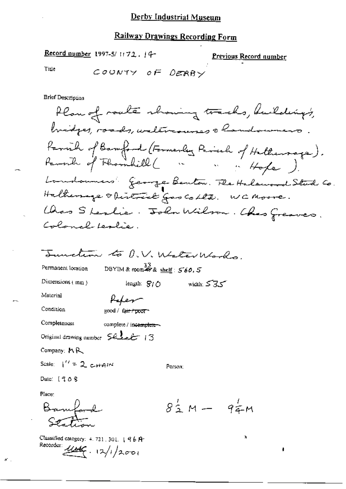### **Railway Drawings Recording Form**

Record number 1997-5/1172.14-

Previous Record number

Title

COUNTY OF DERBY

**Brief Description** 

Plan of roaks showing tracks, buildings, bridges, roads, watercourses a landowners. Parvil of Banford (Formerly Rich of Hothersoge).<br>Parvil of Florinkill ( ... ... Hope). Londonners George Benton. The Halewood Stud Co. Halturing obistrate gos colle. WCMoore. Chas Steslie. John Wilson. Chas Greaves. Colonal Leslie.

Sunction to D.V. Weter Works. DBYIM & coom  $\overset{33}{\cancel{5}}$  & shelf :  $\cancel{560.5}$ Permanent location Dimensions  $(mn)$ length:  $S/O$ width:  $535$ 

Material

Condition

Completeness

Paker good / fair / poor

complete / incernplete ~

Original drawing number  $52$   $-13$ 

Company: MR

Scale:  $1'' = 2$  cHAIN

Date:  $1908$ 

Place:

Bankord

Classified category: 4, 721, 301, 196A. Recorder:  $\frac{1}{1000}$  .  $12/1/2001$ 

 $8\frac{1}{2}M - 9\frac{1}{4}M$ 

Ń,

ł

Person;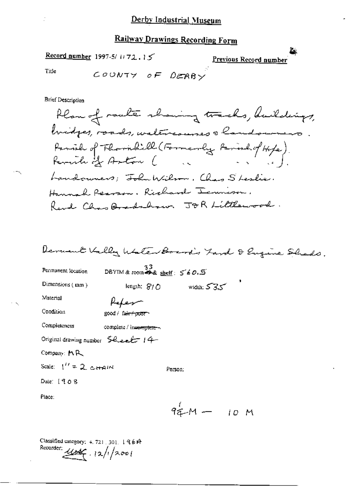Record number 1997-5/1172.15

Previous Record number

Žк,

Title

COUNTY OF DERBY

**Brief Description** 

Classified category:  $4.721, 301, 19.6$  Pr Recorder:  $11/2001$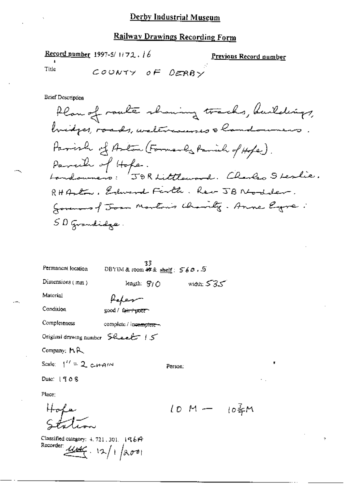#### Railway Drawings Recording Form

Record number 1997-5/1172.16

Previous Record number

Title

COUNTY OF DERBY

**Brief Description** 

Plan of route showing tracks, buildings, hidges, roads, waltercourses & handoumers. Parish of Arton (Formarly Parish of Hope). Parcile of Hope.<br>Londounero: 50R Littlouve d. Clarles Sterlie. RHALL, Edward Firth, Rev JB Nodder. Governors of Joan Montais Charity. Anne Egre: SD Grandidge.

33<br>DBYEM & room #\* & shelf:  $560.5$ 

length:  $S/O$ 

Permanent location Dimensions (mm)

 $width: 535$ 

Person:

 $10 M - 10$   $\frac{2}{3} M$ 

Material

fater

Condition

good / fair+poor

Completeness complete / incomplete -

Original drawing number Sheet 15

Company: MR

Scale:  $1'' = 2$  c-H-AM

Date: 1908

Place:

 $Hof$ a

Classified category: 4, 721, 301, 19614 Recorder:  $\frac{1}{4}$ , 12/1/2001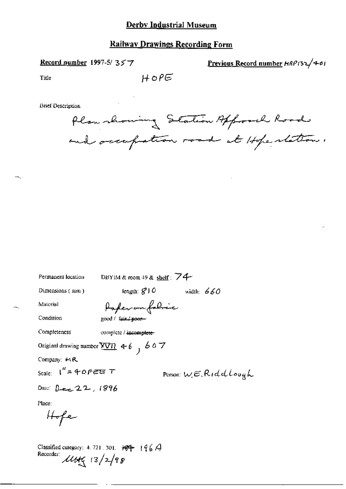### **Railway Drawings Recording Form**

 $HOPE$ 

Record number 1997-5/357

Previous Record number HRP132/401

Title

**Brief Description** 

Plan showing Station Approved Road and occupation road at Hope ration.

| Permanent location      | DBYIM & room 49 & shelf: $\overline{74}$             |                                      |  |
|-------------------------|------------------------------------------------------|--------------------------------------|--|
| Dimensions (mm)         | length: $g'$   O                                     | width: $660$                         |  |
| Material                | Paperonfolsic                                        |                                      |  |
| Condition               | good / fair / poor-                                  |                                      |  |
| Completeness            | complete / incomplete-                               |                                      |  |
|                         | Original drawing number $\underline{XVI}$ , 4-6, 607 |                                      |  |
| Company: $M$ R          |                                                      |                                      |  |
| Scale: $1'' = 40$ FEE T |                                                      | Person: $w \in \mathcal{R}$ rddlough |  |
| Date: Dee $22,1896$     |                                                      |                                      |  |
| Place:                  |                                                      |                                      |  |
| Hofe                    |                                                      |                                      |  |

Classified category: 4.721.301.  $\overline{189}$   $\overline{196}$   $\overline{4}$ Recorder:  $\mu$ the  $\frac{1}{3}/\frac{2}{9}$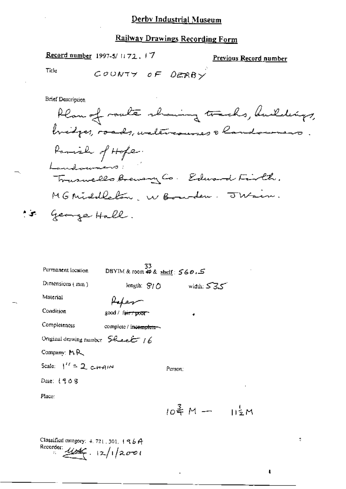Record number 1997-5/1172, 17

Previous Record number

đ,

 $\mathbf{I}$ 

**Title** 

COUNTY OF DERBY

**Brief Description** 

Plan of roaks showing tracks, buildings, bridges, roads, watercourses a landowner Parish of Hope. Landwinners: Trusmells Brewery Co. Edward Firth. MG Middleton, W Bourden. Jusin. to George Hall.

| Permanent location               | 33<br>DBYIM & room \$ & shelf: 560.5 |         |              |      |
|----------------------------------|--------------------------------------|---------|--------------|------|
| Dimensions (mm)                  | length: $S/O$                        |         | width: $535$ |      |
| Material                         |                                      |         |              |      |
| Condition                        | good / fa <del>ir / poor</del>       |         |              |      |
| Completeness                     | complete / incomplete-               |         |              |      |
| Original drawing number Sheet 16 |                                      |         |              |      |
| Company: MR                      |                                      |         |              |      |
| Scale: $1'' = 2$ c-HAIN          |                                      | Person: |              |      |
| Date: 1908                       |                                      |         |              |      |
| Place:                           |                                      |         |              |      |
|                                  |                                      |         | 10룍 M —      | 112M |
|                                  |                                      |         |              |      |

Classified category:  $4.721.301.196A$ Recorder:  $4447 \cdot 12/12001$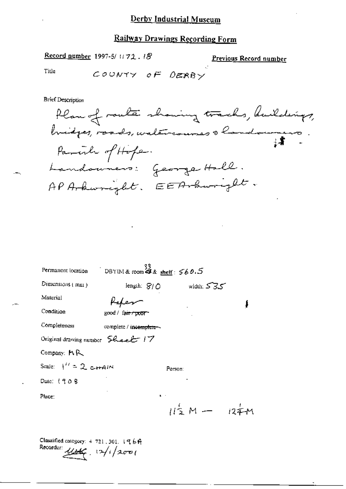$\mathcal{L}$ 

Record number 1997-5/1172.18

Previous Record number

Title

COUNTY OF DERBY

**Brief Description** 

| Permanent location                                     | DBYIM & room 43 & shelf: $560.5$ |         |                 |  |
|--------------------------------------------------------|----------------------------------|---------|-----------------|--|
| Dimensions $\{m_{11}\}$                                | length: SI∩                      |         | width: 535      |  |
| Material                                               |                                  |         |                 |  |
| Condition                                              | good / fa <del>ir / poor -</del> |         |                 |  |
| Completeness                                           | complete / incemplete-           |         |                 |  |
| Original drawing number $\mathcal{L}_{\text{back}}$ 17 |                                  |         |                 |  |
| Company: MR                                            |                                  |         |                 |  |
| Scale: $1^{\prime\prime} = 2$ crain                    |                                  | Person: |                 |  |
| Date: 1908                                             |                                  |         |                 |  |
| Place:                                                 | $\mathbf{h} = \mathbf{h}$        |         |                 |  |
|                                                        |                                  |         | $112 M - 124 M$ |  |
|                                                        |                                  |         |                 |  |

Classified category:  $4-721$ , 301.  $1969$ Recorder  $\mu *$   $(3/1200)$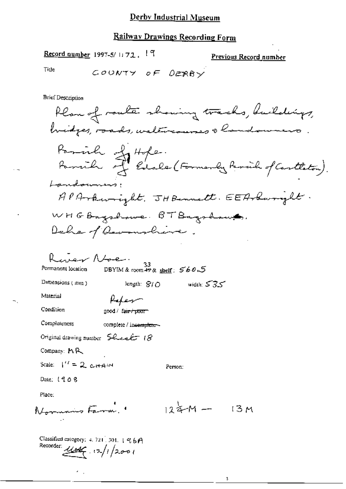#### Railway Drawings Recording Form

Record number 1997-5/ $1.72$ ,  $19$ 

Previous Record number

Title

COUNTY OF DERRY

**Brief Description** 

Plan of route showing tracks, buildings, bridges, roads, watercourses a landowners Parrill Jeffe.<br>Parrill Jedole (Formerly Parril of Cartleton). Landowners: APArkwright. JHBennett. EEArkwright. WHGBagshowe. BTBagshows. Dale of Reventline. River Noe. 33<br>DBYIM&room #9& shelf: 560.5 Permanent location Dimensions (mm) length:  $810$  width:  $535$ Material felem Condition good / fair / poor Completeness complete / incomplete-Original drawing number Sheet 18 Company: MR Scale:  $1'' = 2$  chain Person: Date: 1908 Place:  $124M$ Normans Farm. 13 M Classified category: 4, 721, 301,  $196A$ Recorder:  $\frac{1}{4}$   $(2)/1$   $(2001)$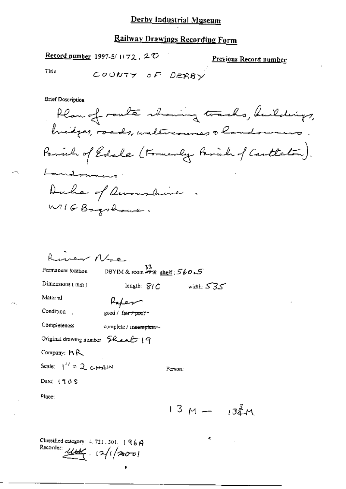### Railway Drawings Recording Form

Record number 1997-5/1172, 20

Previous Record number

Title

COUNTY OF DERBY

**Brief Description** 

Plan of roaks showing tracks, buildings, bridges, roads, waltercourses a landowners Parish of Edale (Formerly Parish of Cartleton). Landonning Duke of Devoushine WHGBagshouse.

| rear Nace.                              |                                           |                |  |
|-----------------------------------------|-------------------------------------------|----------------|--|
| Permanent location                      | $33$<br>DBYIM & room $49x$ shelf: $560.5$ |                |  |
| Dimensions $(mn)$                       | lengih: $S/D$                             | width: $535$   |  |
| Material                                |                                           |                |  |
| Condition                               | good / fa <del>ir / poo</del> r           |                |  |
| Completeness                            | complete / incomplete ~~                  |                |  |
| Original drawing number $52$ exact $19$ |                                           |                |  |
| Company: $M$ $R$                        |                                           |                |  |
| Scale: $1'' = 2$ CHAIN                  |                                           | Person:        |  |
| Date: $1909$                            |                                           |                |  |
| Place:                                  |                                           |                |  |
|                                         |                                           | $13 M - 134 M$ |  |
|                                         |                                           |                |  |
|                                         |                                           |                |  |

Classified category:  $4, 721, 301, 196A$ Recorder:  $\frac{1}{4}$   $12/(200)$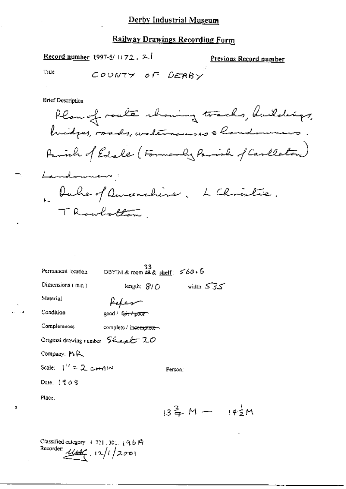$\frac{\text{Record number}}{\text{Number}}$  (997-5/1172, 2.1)

Previous Record number

Title

COUNTY OF DERRY

**Brief Description** 

Plan of route shaming tracks, buildings, buidges, roads, watercommes & londowners Parish of Edale (Formanly Parish of Carlleton) Landowners! laber of Duconshine. L Christie. TRoubottom

33<br>DBYIM & room #2 & shelf:  $560.5$ Permanent location length;  $S/O$  width:  $S3S$ Dimensions  $(mn)$ Material Paper Condition good / fair / poor Completeness complete / incomptere-Original drawing number Sheet 20 Company: MR Scale:  $1'' = 2 \text{ cm}$ Person: Date. 1908 Place:  $13\frac{3}{4}M - 14\frac{1}{2}M$ 

Classified category:  $+ 721$ , 301,  $+ 96$  ff Recorder:  $446.12/1/2001$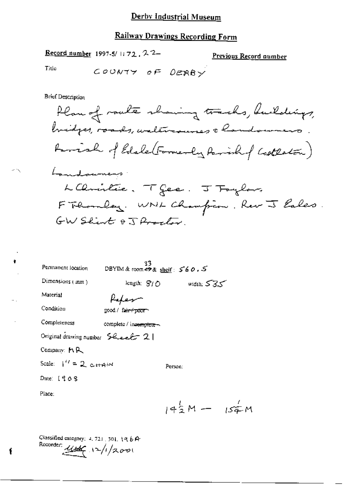#### **Railway Drawings Recording Form**

Record number 1997-5/1172, 22-

Previous Record number

Title

COUNTY OF DERBY

Brief Description

Plan of roate showing tracks, buildings, bridges, roads, weletrannes & handoumers. Famish of Edale (Formerly Parishof Castleton) Landsumers LChristie. Tfee. J Toylors FThombay. WNL Champion. Rev J lales. GW Shirt & J Proctor

 $33$ <br>DBYIM & room  $49$  & sheif:  $560.5$ Permanent location Dimensions (mm) length;  $\mathcal{G}/\mathcal{O}$  width;  $\mathcal{S}3\mathcal{S}$ Material Paker Condition good / fair+poor~ Completeness complete / incomplete-Original drawing number 5 heart 21 Company: MR Scale:  $1^{\prime\prime} = 2$  c-HAIN Person: Date: 1908

Place:

ŧ

 $143M - 154M$ 

Classified category:  $4, 721, 501, 19, 6$  A Recorder:  $\frac{1}{2}$   $\sqrt{2}/200$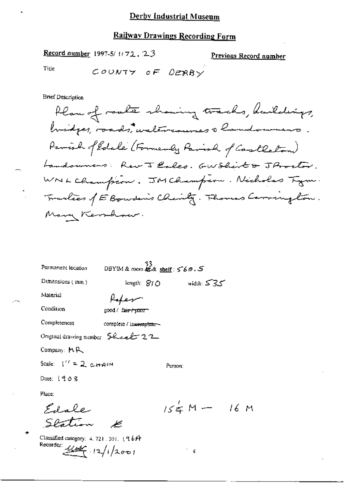#### **Railway Drawings Recording Form**

Record number 1997-5/1172, 23

Previous Record number

Title

COUNTY OF DERRY

**Brief Description** 

Plan of roaks showing tracks, buildings, bridges, roads, walercourses a landowners Parish of Edale (Formerly Parish of Castleton) Landowners: Rev J Eales. GWShirt & J Proctor. WNL Champion. JM Champion. Nicholas Tym. Tranlees of E Boundaries Charity. Thomas Corrington. Mary Kemhaw.

DBYIM & room  $\frac{33}{42}$ & shelf: 560.5 Permanent location Dimensions (mm) ستان width: کہ length:  $810$ Material Peter Condition good / fair / poor Completeness complete / incomplete ~~ Original drawing number  $\mathcal{L}$  exects 22 Company: MR Scale:  $1'' = 2$  capital Person: Date: 1908 Place:  $154M - 16M$ Edale Station

Classified category:  $4.721.301.196$   $\theta$ Recorder:  $\frac{1}{4}$  12/1/2001

 $\mathbf{x}$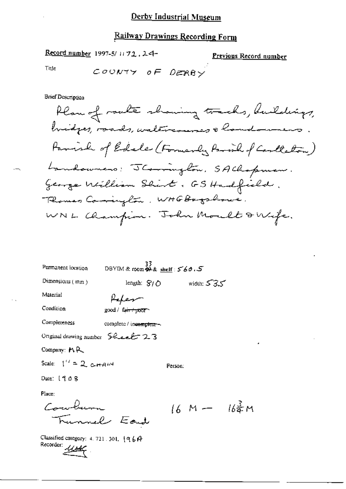## Railway Drawings Recording Form

Record number 1997-5/1172.24

Previous Record number

Title

COUNTY OF DERBY

**Brief Description** 

| Permanent location                | $33$<br>DBYIM & room $\overset{33}{\bullet}$ & shelf : 560.5 |         |              |                      |
|-----------------------------------|--------------------------------------------------------------|---------|--------------|----------------------|
| Dimensions $(mn)$                 | length: $S/O$                                                |         | width: $535$ |                      |
| Material                          |                                                              |         |              |                      |
| Condition                         | good/ fa <del>ir/poor</del>                                  |         |              |                      |
| Completeness                      | complete / incomplete -                                      |         |              |                      |
| Original drawing number 5healt 23 |                                                              |         |              |                      |
| Company: MR                       |                                                              |         |              |                      |
| Scale: $1'' = 2$ c-HAM            |                                                              | Person: |              |                      |
| Date: $1408$                      |                                                              |         |              |                      |
| Place:                            |                                                              |         |              |                      |
|                                   |                                                              |         | $16 M -$     | $16\frac{5}{9}$<br>M |

Classified category: 4.721.501.  $(964$ <br>Recorder:  $\frac{11646}{100}$ 

Funnel Eard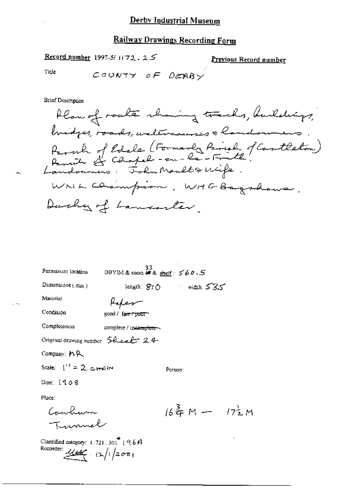Record number 1997-5/1172.25

<u>Previous Record number</u>

 $17\frac{1}{2}M$ 

Tide

÷,

 $\sim$   $\sim$  .

COUNTY OF DERBY

**Brief Description** 

| Permanent location                                                        | 33<br>DBYIM&room <i>#&amp;</i> sheif: 560.5 |                                                                                     |
|---------------------------------------------------------------------------|---------------------------------------------|-------------------------------------------------------------------------------------|
| Dimensions $(mn)$                                                         |                                             | length: $\mathcal{B}$ / $\bigcirc$ width: $\mathcal{S}$ $\mathcal{S}$ $\mathcal{S}$ |
| Material                                                                  | Hapen                                       |                                                                                     |
| Condition                                                                 | good / fair / poor                          |                                                                                     |
| Completeness                                                              | complete / incomplete ~                     |                                                                                     |
| Original drawing number $\mathcal{L}$ and $\mathcal{L}$ and $\mathcal{L}$ |                                             |                                                                                     |
| Company: MR                                                               |                                             |                                                                                     |
| Scale: $1'' = 2$ c-HAIM                                                   |                                             | Person:                                                                             |
| Date: 1908                                                                |                                             |                                                                                     |
| Place:                                                                    |                                             |                                                                                     |
| Cowhum                                                                    |                                             | 16.奇M—                                                                              |
| Tunnel                                                                    |                                             |                                                                                     |

Classified category: 4, 721, 301.  $(96A$ <br>Recorder:  $\angle$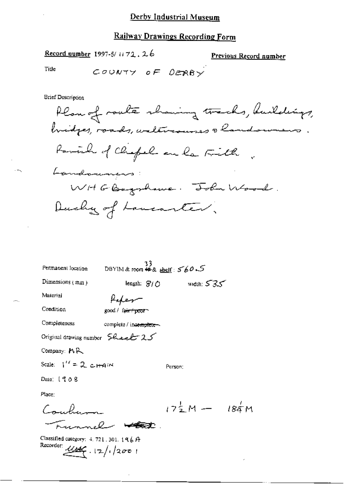#### **Railway Drawings Recording Form**

Record number 1997-5/1172.26

Previous Record number

Title

COUNTY OF DEBRY

**Brief Description** 

Plan of route showing tracks, buildings, bridges, roads, waltercourses a landowners. Parcial of Chapel an la Fill Landouners WHGBagshave. John Wood. Ducky of Lancanter.

length:  $\mathcal{B}/\mathcal{O}$  width:  $\mathcal{S}3\mathcal{S}$ 

Person:

33<br>DBYIM & room #4 & shelf:  $560S$ Permanent location

Dimensions  $\{m_{01}\}$ 

Paper

Condition

Material

good / fair / poor

Completeness complete / incemplete-

Original drawing number Sheet 25

Company: MR

Scale:  $1'' = 2$  c<sub>Hai</sub>N

Date: 1908

Place:

 $17\frac{1}{2}M - 18\frac{1}{4}M$ Couches-Funnel Wat

Classified category:  $4.721.301.196A$ Recorder:  $4466 \cdot 12/12001$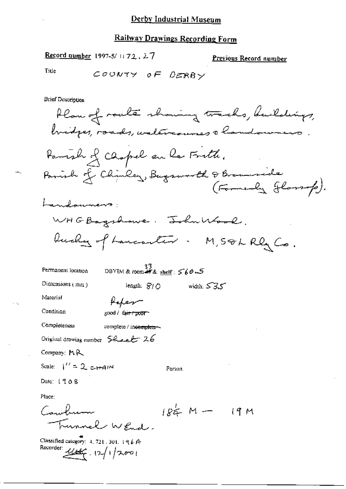Record number 1997-5/1172, 27

Previous Record number

Title

COUNTY OF DERBY

**Brief Description** 

Plan of route showing tracks, buildings, hidges, roads, walercourses a landowners Parish of Chopel en la Frith. Parish of Chinley, Bugsworth & Braunside<br>(Formerly Jlassop). Landonners WHGBagshowe. John Wood. bushy of Lancanter. M, SOL Rly Co. DBYIM & room## & shelf:  $560-5$ Permanent location Dimensions (mm) width:  $535$ length:  $S/O$ Material Paper Condition good / fair / poor Completeness complete / incomplete Original drawing number Sheet 26 Company:  $AR$ Scale:  $1'' = 2c + 4M$ Person. Date: 1908 Place: Cambridge  $184 M (9M)$ Lunnel WRmd.

Classified category: 4, 721, 301, 196 A-Recorder:  $1/466$ ,  $12/1/2001$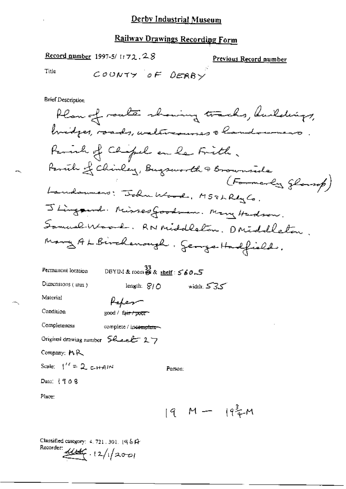# Railway Drawings Recording Form

 $\mathbb{R}^2$ 

Record number 1997-5/1172.28

Previous Record number

Title

**Brief Description** 

| Permanent location                                           | DBYIM & room $\overset{33}{\bigcirc}$ & shelf: $560.5$ |              |
|--------------------------------------------------------------|--------------------------------------------------------|--------------|
| Dimensions $(mn)$                                            | length: $S/O$                                          | width: $535$ |
| Material                                                     | Hapen                                                  |              |
| Condition                                                    | good / fair / pour                                     |              |
| Completeness                                                 | complete / incomplete-                                 |              |
| Original drawing number $\mathcal{G}$ deal $\mathcal{L}$ 2.7 |                                                        |              |
| Company: $M R$                                               |                                                        |              |
| Scale: $1'' = 2$ cHAIN                                       |                                                        | Person:      |
| Date: $1908$                                                 |                                                        |              |
|                                                              |                                                        |              |

Place:

 $[9 M - 194 M]$ 

Classified category: 4, 721, 301, 1961-Recorder:  $414$  (2/1/2001